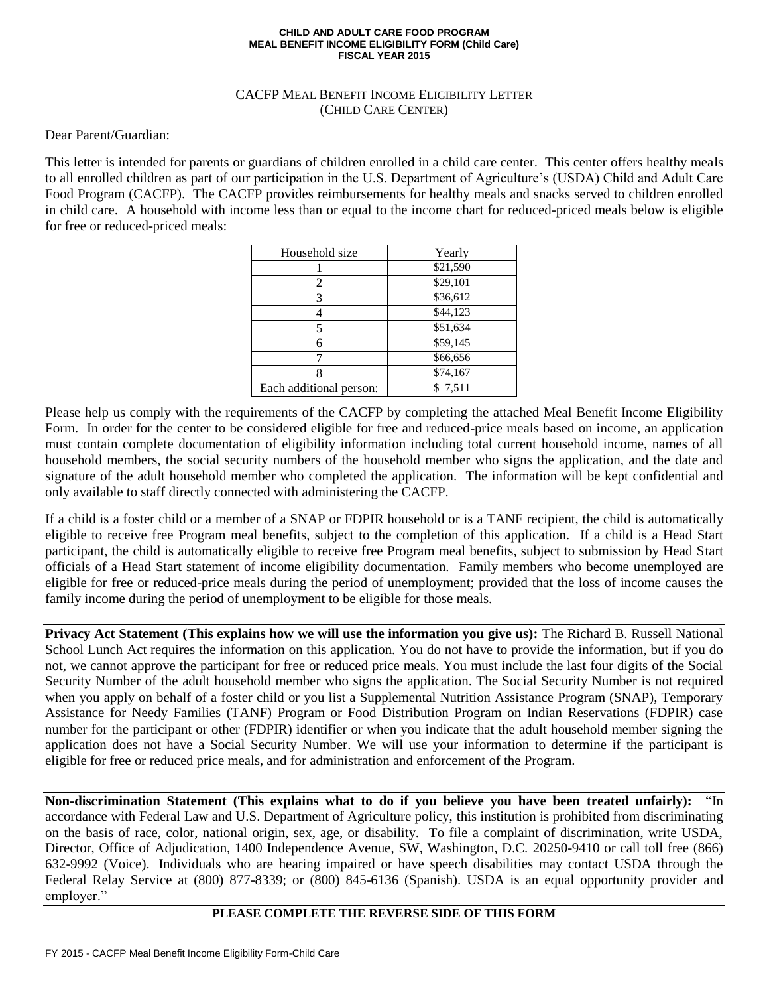## **CHILD AND ADULT CARE FOOD PROGRAM MEAL BENEFIT INCOME ELIGIBILITY FORM (Child Care) FISCAL YEAR 2015**

## CACFP MEAL BENEFIT INCOME ELIGIBILITY LETTER (CHILD CARE CENTER)

Dear Parent/Guardian:

This letter is intended for parents or guardians of children enrolled in a child care center. This center offers healthy meals to all enrolled children as part of our participation in the U.S. Department of Agriculture's (USDA) Child and Adult Care Food Program (CACFP). The CACFP provides reimbursements for healthy meals and snacks served to children enrolled in child care. A household with income less than or equal to the income chart for reduced-priced meals below is eligible for free or reduced-priced meals:

| Household size          | Yearly   |
|-------------------------|----------|
|                         | \$21,590 |
| 2                       | \$29,101 |
| 3                       | \$36,612 |
|                         | \$44,123 |
|                         | \$51,634 |
|                         | \$59,145 |
|                         | \$66,656 |
|                         | \$74,167 |
| Each additional person: | \$7,511  |

Please help us comply with the requirements of the CACFP by completing the attached Meal Benefit Income Eligibility Form. In order for the center to be considered eligible for free and reduced-price meals based on income, an application must contain complete documentation of eligibility information including total current household income, names of all household members, the social security numbers of the household member who signs the application, and the date and signature of the adult household member who completed the application. The information will be kept confidential and only available to staff directly connected with administering the CACFP.

If a child is a foster child or a member of a SNAP or FDPIR household or is a TANF recipient, the child is automatically eligible to receive free Program meal benefits, subject to the completion of this application. If a child is a Head Start participant, the child is automatically eligible to receive free Program meal benefits, subject to submission by Head Start officials of a Head Start statement of income eligibility documentation. Family members who become unemployed are eligible for free or reduced-price meals during the period of unemployment; provided that the loss of income causes the family income during the period of unemployment to be eligible for those meals.

**Privacy Act Statement (This explains how we will use the information you give us):** The Richard B. Russell National School Lunch Act requires the information on this application. You do not have to provide the information, but if you do not, we cannot approve the participant for free or reduced price meals. You must include the last four digits of the Social Security Number of the adult household member who signs the application. The Social Security Number is not required when you apply on behalf of a foster child or you list a Supplemental Nutrition Assistance Program (SNAP), Temporary Assistance for Needy Families (TANF) Program or Food Distribution Program on Indian Reservations (FDPIR) case number for the participant or other (FDPIR) identifier or when you indicate that the adult household member signing the application does not have a Social Security Number. We will use your information to determine if the participant is eligible for free or reduced price meals, and for administration and enforcement of the Program.

**Non-discrimination Statement (This explains what to do if you believe you have been treated unfairly):** "In accordance with Federal Law and U.S. Department of Agriculture policy, this institution is prohibited from discriminating on the basis of race, color, national origin, sex, age, or disability. To file a complaint of discrimination, write USDA, Director, Office of Adjudication, 1400 Independence Avenue, SW, Washington, D.C. 20250-9410 or call toll free (866) 632-9992 (Voice). Individuals who are hearing impaired or have speech disabilities may contact USDA through the Federal Relay Service at (800) 877-8339; or (800) 845-6136 (Spanish). USDA is an equal opportunity provider and employer."

## **PLEASE COMPLETE THE REVERSE SIDE OF THIS FORM**